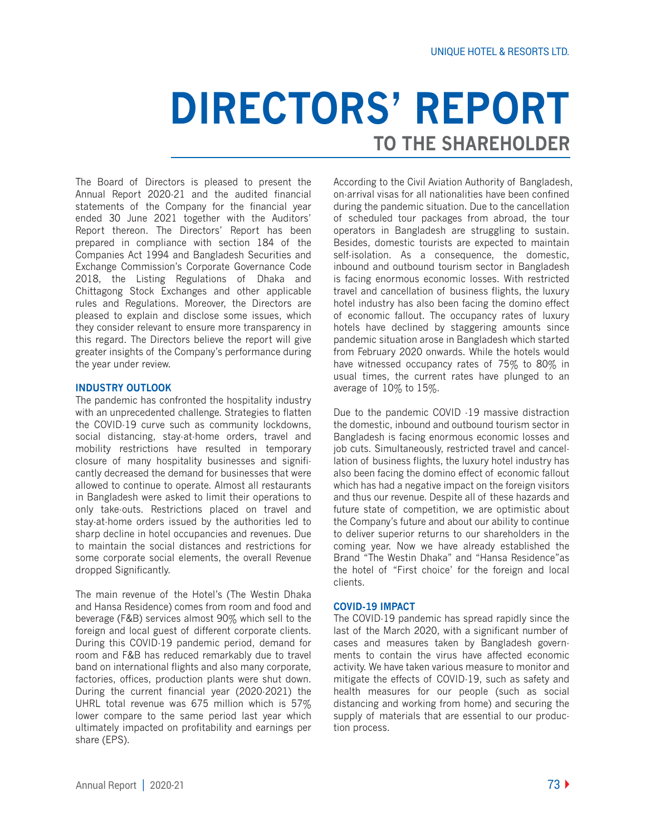# **DIRECTORS' REPORT TO THE SHAREHOLDER**

The Board of Directors is pleased to present the Annual Report 2020-21 and the audited financial statements of the Company for the financial year ended 30 June 2021 together with the Auditors' Report thereon. The Directors' Report has been prepared in compliance with section 184 of the Companies Act 1994 and Bangladesh Securities and Exchange Commission's Corporate Governance Code 2018, the Listing Regulations of Dhaka and Chittagong Stock Exchanges and other applicable rules and Regulations. Moreover, the Directors are pleased to explain and disclose some issues, which they consider relevant to ensure more transparency in this regard. The Directors believe the report will give greater insights of the Company's performance during the year under review.

## **INDUSTRY OUTLOOK**

The pandemic has confronted the hospitality industry with an unprecedented challenge. Strategies to flatten the COVID-19 curve such as community lockdowns, social distancing, stay-at-home orders, travel and mobility restrictions have resulted in temporary closure of many hospitality businesses and significantly decreased the demand for businesses that were allowed to continue to operate. Almost all restaurants in Bangladesh were asked to limit their operations to only take-outs. Restrictions placed on travel and stay-at-home orders issued by the authorities led to sharp decline in hotel occupancies and revenues. Due to maintain the social distances and restrictions for some corporate social elements, the overall Revenue dropped Significantly.

The main revenue of the Hotel's (The Westin Dhaka and Hansa Residence) comes from room and food and beverage (F&B) services almost 90% which sell to the foreign and local guest of different corporate clients. During this COVID-19 pandemic period, demand for room and F&B has reduced remarkably due to travel band on international flights and also many corporate, factories, offices, production plants were shut down. During the current financial year (2020-2021) the UHRL total revenue was 675 million which is 57% lower compare to the same period last year which ultimately impacted on profitability and earnings per share (EPS).

According to the Civil Aviation Authority of Bangladesh, on-arrival visas for all nationalities have been confined during the pandemic situation. Due to the cancellation of scheduled tour packages from abroad, the tour operators in Bangladesh are struggling to sustain. Besides, domestic tourists are expected to maintain self-isolation. As a consequence, the domestic, inbound and outbound tourism sector in Bangladesh is facing enormous economic losses. With restricted travel and cancellation of business flights, the luxury hotel industry has also been facing the domino effect of economic fallout. The occupancy rates of luxury hotels have declined by staggering amounts since pandemic situation arose in Bangladesh which started from February 2020 onwards. While the hotels would have witnessed occupancy rates of 75% to 80% in usual times, the current rates have plunged to an average of 10% to 15%.

Due to the pandemic COVID -19 massive distraction the domestic, inbound and outbound tourism sector in Bangladesh is facing enormous economic losses and job cuts. Simultaneously, restricted travel and cancellation of business flights, the luxury hotel industry has also been facing the domino effect of economic fallout which has had a negative impact on the foreign visitors and thus our revenue. Despite all of these hazards and future state of competition, we are optimistic about the Company's future and about our ability to continue to deliver superior returns to our shareholders in the coming year. Now we have already established the Brand "The Westin Dhaka" and "Hansa Residence"as the hotel of "First choice' for the foreign and local clients.

#### **COVID-19 IMPACT**

The COVID-19 pandemic has spread rapidly since the last of the March 2020, with a significant number of cases and measures taken by Bangladesh governments to contain the virus have affected economic activity. We have taken various measure to monitor and mitigate the effects of COVID-19, such as safety and health measures for our people (such as social distancing and working from home) and securing the supply of materials that are essential to our production process.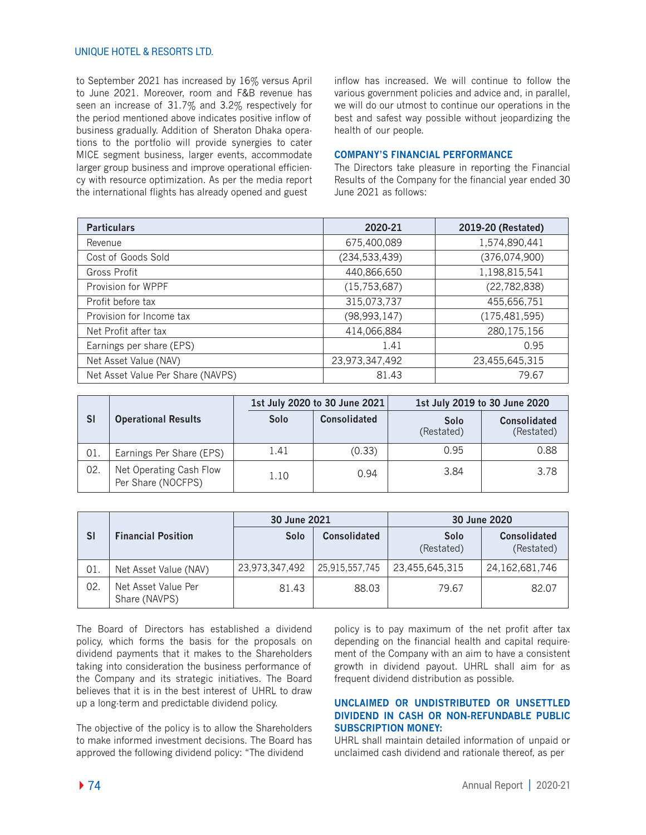# UNIQUE HOTEL & RESORTS LTD.

to September 2021 has increased by 16% versus April to June 2021. Moreover, room and F&B revenue has seen an increase of 31.7% and 3.2% respectively for the period mentioned above indicates positive inflow of business gradually. Addition of Sheraton Dhaka operations to the portfolio will provide synergies to cater MICE segment business, larger events, accommodate larger group business and improve operational efficiency with resource optimization. As per the media report the international flights has already opened and guest

inflow has increased. We will continue to follow the various government policies and advice and, in parallel, we will do our utmost to continue our operations in the best and safest way possible without jeopardizing the health of our people.

## **COMPANY'S FINANCIAL PERFORMANCE**

The Directors take pleasure in reporting the Financial Results of the Company for the financial year ended 30 June 2021 as follows:

| <b>Particulars</b>                | 2020-21         | 2019-20 (Restated) |
|-----------------------------------|-----------------|--------------------|
| Revenue                           | 675,400,089     | 1,574,890,441      |
| Cost of Goods Sold                | (234, 533, 439) | (376, 074, 900)    |
| Gross Profit                      | 440,866,650     | 1,198,815,541      |
| Provision for WPPF                | (15, 753, 687)  | (22, 782, 838)     |
| Profit before tax                 | 315,073,737     | 455,656,751        |
| Provision for Income tax          | (98, 993, 147)  | (175, 481, 595)    |
| Net Profit after tax              | 414,066,884     | 280, 175, 156      |
| Earnings per share (EPS)          | 1.41            | 0.95               |
| Net Asset Value (NAV)             | 23,973,347,492  | 23,455,645,315     |
| Net Asset Value Per Share (NAVPS) | 81.43           | 79.67              |

|           |                                               | 1st July 2020 to 30 June 2021 |                     | 1st July 2019 to 30 June 2020 |                                   |
|-----------|-----------------------------------------------|-------------------------------|---------------------|-------------------------------|-----------------------------------|
| <b>SI</b> | <b>Operational Results</b>                    | Solo                          | <b>Consolidated</b> | Solo<br>(Restated)            | <b>Consolidated</b><br>(Restated) |
| 01.       | Earnings Per Share (EPS)                      | 1.41                          | (0.33)              | 0.95                          | 0.88                              |
| 02.       | Net Operating Cash Flow<br>Per Share (NOCFPS) | 1.10                          | 0.94                | 3.84                          | 3.78                              |

|           |                                      | 30 June 2021   |                     | 30 June 2020       |                                   |
|-----------|--------------------------------------|----------------|---------------------|--------------------|-----------------------------------|
| <b>SI</b> | <b>Financial Position</b>            | Solo           | <b>Consolidated</b> | Solo<br>(Restated) | <b>Consolidated</b><br>(Restated) |
| 01.       | Net Asset Value (NAV)                | 23,973,347,492 | 25,915,557,745      | 23,455,645,315     | 24, 162, 681, 746                 |
| 02.       | Net Asset Value Per<br>Share (NAVPS) | 81.43          | 88.03               | 79.67              | 82.07                             |

The Board of Directors has established a dividend policy, which forms the basis for the proposals on dividend payments that it makes to the Shareholders taking into consideration the business performance of the Company and its strategic initiatives. The Board believes that it is in the best interest of UHRL to draw up a long-term and predictable dividend policy.

The objective of the policy is to allow the Shareholders to make informed investment decisions. The Board has approved the following dividend policy: "The dividend

policy is to pay maximum of the net profit after tax depending on the financial health and capital requirement of the Company with an aim to have a consistent growth in dividend payout. UHRL shall aim for as frequent dividend distribution as possible.

# **UNCLAIMED OR UNDISTRIBUTED OR UNSETTLED DIVIDEND IN CASH OR NON-REFUNDABLE PUBLIC SUBSCRIPTION MONEY:**

UHRL shall maintain detailed information of unpaid or unclaimed cash dividend and rationale thereof, as per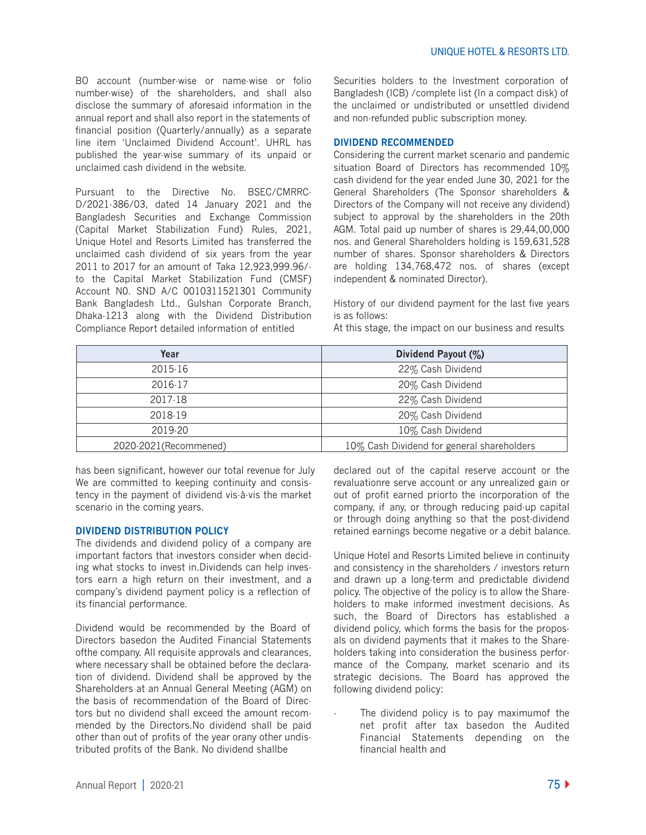BO account (number-wise or name-wise or folio number-wise) of the shareholders, and shall also disclose the summary of aforesaid information in the annual report and shall also report in the statements of financial position (Quarterly/annually) as a separate line item 'Unclaimed Dividend Account'. UHRL has published the year-wise summary of its unpaid or unclaimed cash dividend in the website.

Pursuant to the Directive No. BSEC/CMRRC-D/2021-386/03, dated 14 January 2021 and the Bangladesh Securities and Exchange Commission (Capital Market Stabilization Fund) Rules, 2021, Unique Hotel and Resorts Limited has transferred the unclaimed cash dividend of six years from the year 2011 to 2017 for an amount of Taka 12,923,999.96/ to the Capital Market Stabilization Fund (CMSF) Account N0. SND A/C 0010311521301 Community Bank Bangladesh Ltd., Gulshan Corporate Branch, Dhaka-1213 along with the Dividend Distribution Compliance Report detailed information of entitled

Securities holders to the Investment corporation of Bangladesh (ICB) /complete list (In a compact disk) of the unclaimed or undistributed or unsettled dividend and non-refunded public subscription money.

#### **DIVIDEND RECOMMENDED**

Considering the current market scenario and pandemic situation Board of Directors has recommended 10% cash dividend for the year ended June 30, 2021 for the General Shareholders (The Sponsor shareholders & Directors of the Company will not receive any dividend) subject to approval by the shareholders in the 20th AGM. Total paid up number of shares is 29,44,00,000 nos. and General Shareholders holding is 159,631,528 number of shares. Sponsor shareholders & Directors are holding 134,768,472 nos. of shares (except independent & nominated Director).

History of our dividend payment for the last five years is as follows:

At this stage, the impact on our business and results

| Year                   | Dividend Payout (%)                        |  |
|------------------------|--------------------------------------------|--|
| 2015-16                | 22% Cash Dividend                          |  |
| 2016-17                | 20% Cash Dividend                          |  |
| 2017-18                | 22% Cash Dividend                          |  |
| 2018-19                | 20% Cash Dividend                          |  |
| 2019-20                | 10% Cash Dividend                          |  |
| 2020-2021 (Recommened) | 10% Cash Dividend for general shareholders |  |

has been significant, however our total revenue for July We are committed to keeping continuity and consistency in the payment of dividend vis-à-vis the market scenario in the coming years.

#### **DIVIDEND DISTRIBUTION POLICY**

The dividends and dividend policy of a company are important factors that investors consider when deciding what stocks to invest in.Dividends can help investors earn a high return on their investment, and a company's dividend payment policy is a reflection of its financial performance.

Dividend would be recommended by the Board of Directors basedon the Audited Financial Statements ofthe company. All requisite approvals and clearances, where necessary shall be obtained before the declaration of dividend. Dividend shall be approved by the Shareholders at an Annual General Meeting (AGM) on the basis of recommendation of the Board of Directors but no dividend shall exceed the amount recommended by the Directors.No dividend shall be paid other than out of profits of the year orany other undistributed profits of the Bank. No dividend shallbe

declared out of the capital reserve account or the revaluationre serve account or any unrealized gain or out of profit earned priorto the incorporation of the company, if any, or through reducing paid-up capital or through doing anything so that the post-dividend retained earnings become negative or a debit balance.

Unique Hotel and Resorts Limited believe in continuity and consistency in the shareholders / investors return and drawn up a long-term and predictable dividend policy. The objective of the policy is to allow the Shareholders to make informed investment decisions. As such, the Board of Directors has established a dividend policy, which forms the basis for the proposals on dividend payments that it makes to the Shareholders taking into consideration the business performance of the Company, market scenario and its strategic decisions. The Board has approved the following dividend policy:

The dividend policy is to pay maximumof the net profit after tax basedon the Audited Financial Statements depending on the financial health and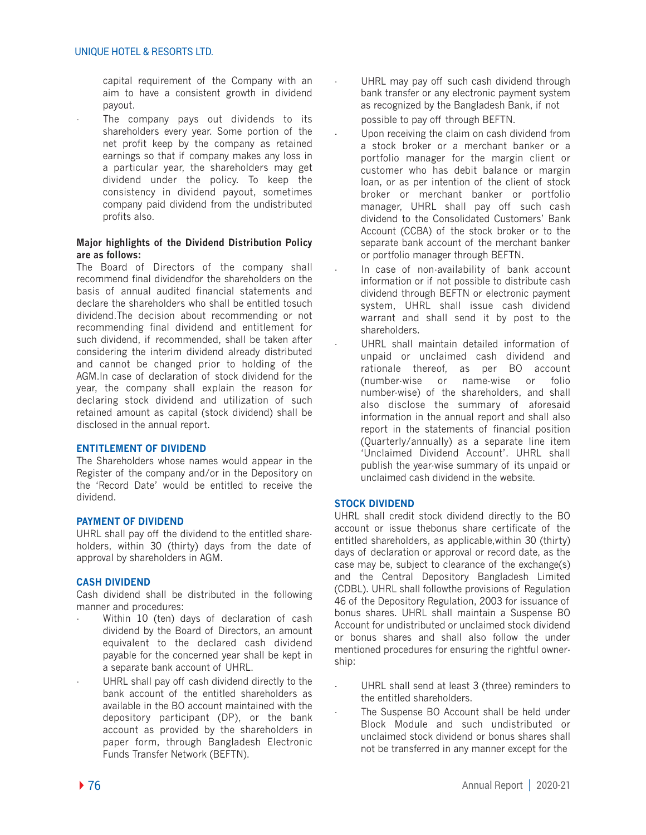capital requirement of the Company with an aim to have a consistent growth in dividend payout.

The company pays out dividends to its shareholders every year. Some portion of the net profit keep by the company as retained earnings so that if company makes any loss in a particular year, the shareholders may get dividend under the policy. To keep the consistency in dividend payout, sometimes company paid dividend from the undistributed profits also.

## **Major highlights of the Dividend Distribution Policy are as follows:**

The Board of Directors of the company shall recommend final dividendfor the shareholders on the basis of annual audited financial statements and declare the shareholders who shall be entitled tosuch dividend.The decision about recommending or not recommending final dividend and entitlement for such dividend, if recommended, shall be taken after considering the interim dividend already distributed and cannot be changed prior to holding of the AGM.In case of declaration of stock dividend for the year, the company shall explain the reason for declaring stock dividend and utilization of such retained amount as capital (stock dividend) shall be disclosed in the annual report.

## **ENTITLEMENT OF DIVIDEND**

The Shareholders whose names would appear in the Register of the company and/or in the Depository on the 'Record Date' would be entitled to receive the dividend.

## **PAYMENT OF DIVIDEND**

UHRL shall pay off the dividend to the entitled shareholders, within 30 (thirty) days from the date of approval by shareholders in AGM.

## **CASH DIVIDEND**

Cash dividend shall be distributed in the following manner and procedures:

- Within 10 (ten) days of declaration of cash dividend by the Board of Directors, an amount equivalent to the declared cash dividend payable for the concerned year shall be kept in a separate bank account of UHRL.
- UHRL shall pay off cash dividend directly to the bank account of the entitled shareholders as available in the BO account maintained with the depository participant (DP), or the bank account as provided by the shareholders in paper form, through Bangladesh Electronic Funds Transfer Network (BEFTN).
- UHRL may pay off such cash dividend through bank transfer or any electronic payment system as recognized by the Bangladesh Bank, if not possible to pay off through BEFTN.
	- Upon receiving the claim on cash dividend from a stock broker or a merchant banker or a portfolio manager for the margin client or customer who has debit balance or margin loan, or as per intention of the client of stock broker or merchant banker or portfolio manager, UHRL shall pay off such cash dividend to the Consolidated Customers' Bank Account (CCBA) of the stock broker or to the separate bank account of the merchant banker or portfolio manager through BEFTN.
- In case of non-availability of bank account information or if not possible to distribute cash dividend through BEFTN or electronic payment system, UHRL shall issue cash dividend warrant and shall send it by post to the shareholders.
- UHRL shall maintain detailed information of unpaid or unclaimed cash dividend and rationale thereof, as per BO account (number-wise or name-wise or folio number-wise) of the shareholders, and shall also disclose the summary of aforesaid information in the annual report and shall also report in the statements of financial position (Quarterly/annually) as a separate line item 'Unclaimed Dividend Account'. UHRL shall publish the year-wise summary of its unpaid or unclaimed cash dividend in the website.

# **STOCK DIVIDEND**

UHRL shall credit stock dividend directly to the BO account or issue thebonus share certificate of the entitled shareholders, as applicable,within 30 (thirty) days of declaration or approval or record date, as the case may be, subject to clearance of the exchange(s) and the Central Depository Bangladesh Limited (CDBL). UHRL shall followthe provisions of Regulation 46 of the Depository Regulation, 2003 for issuance of bonus shares. UHRL shall maintain a Suspense BO Account for undistributed or unclaimed stock dividend or bonus shares and shall also follow the under mentioned procedures for ensuring the rightful ownership:

- UHRL shall send at least 3 (three) reminders to the entitled shareholders.
- The Suspense BO Account shall be held under Block Module and such undistributed or unclaimed stock dividend or bonus shares shall not be transferred in any manner except for the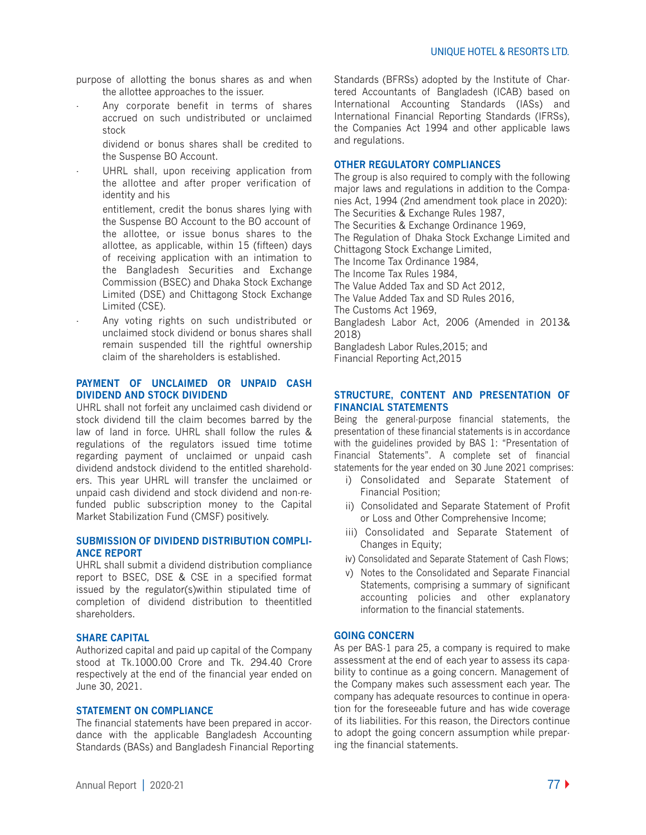purpose of allotting the bonus shares as and when the allottee approaches to the issuer.

Any corporate benefit in terms of shares accrued on such undistributed or unclaimed stock

 dividend or bonus shares shall be credited to the Suspense BO Account.

UHRL shall, upon receiving application from the allottee and after proper verification of identity and his

 entitlement, credit the bonus shares lying with the Suspense BO Account to the BO account of the allottee, or issue bonus shares to the allottee, as applicable, within 15 (fifteen) days of receiving application with an intimation to the Bangladesh Securities and Exchange Commission (BSEC) and Dhaka Stock Exchange Limited (DSE) and Chittagong Stock Exchange Limited (CSE).

Any voting rights on such undistributed or unclaimed stock dividend or bonus shares shall remain suspended till the rightful ownership claim of the shareholders is established.

# **PAYMENT OF UNCLAIMED OR UNPAID CASH DIVIDEND AND STOCK DIVIDEND**

UHRL shall not forfeit any unclaimed cash dividend or stock dividend till the claim becomes barred by the law of land in force. UHRL shall follow the rules & regulations of the regulators issued time totime regarding payment of unclaimed or unpaid cash dividend andstock dividend to the entitled shareholders. This year UHRL will transfer the unclaimed or unpaid cash dividend and stock dividend and non-refunded public subscription money to the Capital Market Stabilization Fund (CMSF) positively.

## **SUBMISSION OF DIVIDEND DISTRIBUTION COMPLI-ANCE REPORT**

UHRL shall submit a dividend distribution compliance report to BSEC, DSE & CSE in a specified format issued by the regulator(s)within stipulated time of completion of dividend distribution to theentitled shareholders.

#### **SHARE CAPITAL**

Authorized capital and paid up capital of the Company stood at Tk.1000.00 Crore and Tk. 294.40 Crore respectively at the end of the financial year ended on June 30, 2021.

#### **STATEMENT ON COMPLIANCE**

The financial statements have been prepared in accordance with the applicable Bangladesh Accounting Standards (BASs) and Bangladesh Financial Reporting Standards (BFRSs) adopted by the Institute of Chartered Accountants of Bangladesh (ICAB) based on International Accounting Standards (IASs) and International Financial Reporting Standards (IFRSs), the Companies Act 1994 and other applicable laws and regulations.

## **OTHER REGULATORY COMPLIANCES**

The group is also required to comply with the following major laws and regulations in addition to the Companies Act, 1994 (2nd amendment took place in 2020): The Securities & Exchange Rules 1987, The Securities & Exchange Ordinance 1969, The Regulation of Dhaka Stock Exchange Limited and Chittagong Stock Exchange Limited, The Income Tax Ordinance 1984, The Income Tax Rules 1984, The Value Added Tax and SD Act 2012, The Value Added Tax and SD Rules 2016, The Customs Act 1969, Bangladesh Labor Act, 2006 (Amended in 2013& 2018) Bangladesh Labor Rules,2015; and Financial Reporting Act,2015

# **STRUCTURE, CONTENT AND PRESENTATION OF FINANCIAL STATEMENTS**

Being the general-purpose financial statements, the presentation of these financial statements is in accordance with the guidelines provided by BAS 1: "Presentation of Financial Statements". A complete set of financial statements for the year ended on 30 June 2021 comprises:

- i) Consolidated and Separate Statement of Financial Position;
- ii) Consolidated and Separate Statement of Profit or Loss and Other Comprehensive Income;
- iii) Consolidated and Separate Statement of Changes in Equity;
- іv) Consolidated and Separate Statement of Cash Flows;
- v) Notes to the Consolidated and Separate Financial Statements, comprising a summary of significant accounting policies and other explanatory information to the financial statements.

## **GOING CONCERN**

As per BAS-1 para 25, a company is required to make assessment at the end of each year to assess its capability to continue as a going concern. Management of the Company makes such assessment each year. The company has adequate resources to continue in operation for the foreseeable future and has wide coverage of its liabilities. For this reason, the Directors continue to adopt the going concern assumption while preparing the financial statements.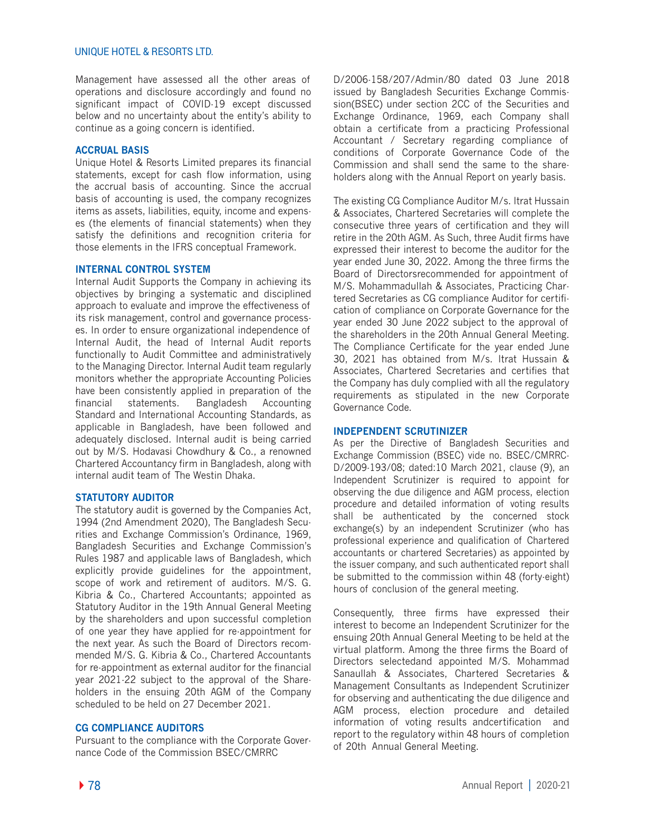# UNIQUE HOTEL & RESORTS LTD.

Management have assessed all the other areas of operations and disclosure accordingly and found no significant impact of COVID-19 except discussed below and no uncertainty about the entity's ability to continue as a going concern is identified.

## **ACCRUAL BASIS**

Unique Hotel & Resorts Limited prepares its financial statements, except for cash flow information, using the accrual basis of accounting. Since the accrual basis of accounting is used, the company recognizes items as assets, liabilities, equity, income and expenses (the elements of financial statements) when they satisfy the definitions and recognition criteria for those elements in the IFRS conceptual Framework.

## **INTERNAL CONTROL SYSTEM**

Internal Audit Supports the Company in achieving its objectives by bringing a systematic and disciplined approach to evaluate and improve the effectiveness of its risk management, control and governance processes. In order to ensure organizational independence of Internal Audit, the head of Internal Audit reports functionally to Audit Committee and administratively to the Managing Director. Internal Audit team regularly monitors whether the appropriate Accounting Policies have been consistently applied in preparation of the financial statements. Bangladesh Accounting Standard and International Accounting Standards, as applicable in Bangladesh, have been followed and adequately disclosed. Internal audit is being carried out by M/S. Hodavasi Chowdhury & Co., a renowned Chartered Accountancy firm in Bangladesh, along with internal audit team of The Westin Dhaka.

## **STATUTORY AUDITOR**

The statutory audit is governed by the Companies Act, 1994 (2nd Amendment 2020), The Bangladesh Securities and Exchange Commission's Ordinance, 1969, Bangladesh Securities and Exchange Commission's Rules 1987 and applicable laws of Bangladesh, which explicitly provide guidelines for the appointment, scope of work and retirement of auditors. M/S. G. Kibria & Co., Chartered Accountants; appointed as Statutory Auditor in the 19th Annual General Meeting by the shareholders and upon successful completion of one year they have applied for re-appointment for the next year. As such the Board of Directors recommended M/S. G. Kibria & Co., Chartered Accountants for re-appointment as external auditor for the financial year 2021-22 subject to the approval of the Shareholders in the ensuing 20th AGM of the Company scheduled to be held on 27 December 2021.

## **CG COMPLIANCE AUDITORS**

Pursuant to the compliance with the Corporate Governance Code of the Commission BSEC/CMRRC

D/2006-158/207/Admin/80 dated 03 June 2018 issued by Bangladesh Securities Exchange Commission(BSEC) under section 2CC of the Securities and Exchange Ordinance, 1969, each Company shall obtain a certificate from a practicing Professional Accountant / Secretary regarding compliance of conditions of Corporate Governance Code of the Commission and shall send the same to the shareholders along with the Annual Report on yearly basis.

The existing CG Compliance Auditor M/s. Itrat Hussain & Associates, Chartered Secretaries will complete the consecutive three years of certification and they will retire in the 20th AGM. As Such, three Audit firms have expressed their interest to become the auditor for the year ended June 30, 2022. Among the three firms the Board of Directorsrecommended for appointment of M/S. Mohammadullah & Associates, Practicing Chartered Secretaries as CG compliance Auditor for certification of compliance on Corporate Governance for the year ended 30 June 2022 subject to the approval of the shareholders in the 20th Annual General Meeting. The Compliance Certificate for the year ended June 30, 2021 has obtained from M/s. Itrat Hussain & Associates, Chartered Secretaries and certifies that the Company has duly complied with all the regulatory requirements as stipulated in the new Corporate Governance Code.

## **INDEPENDENT SCRUTINIZER**

As per the Directive of Bangladesh Securities and Exchange Commission (BSEC) vide no. BSEC/CMRRC-D/2009-193/08; dated:10 March 2021, clause (9), an Independent Scrutinizer is required to appoint for observing the due diligence and AGM process, election procedure and detailed information of voting results shall be authenticated by the concerned stock exchange(s) by an independent Scrutinizer (who has professional experience and qualification of Chartered accountants or chartered Secretaries) as appointed by the issuer company, and such authenticated report shall be submitted to the commission within 48 (forty-eight) hours of conclusion of the general meeting.

Consequently, three firms have expressed their interest to become an Independent Scrutinizer for the ensuing 20th Annual General Meeting to be held at the virtual platform. Among the three firms the Board of Directors selectedand appointed M/S. Mohammad Sanaullah & Associates, Chartered Secretaries & Management Consultants as Independent Scrutinizer for observing and authenticating the due diligence and AGM process, election procedure and detailed information of voting results andcertification and report to the regulatory within 48 hours of completion of 20th Annual General Meeting.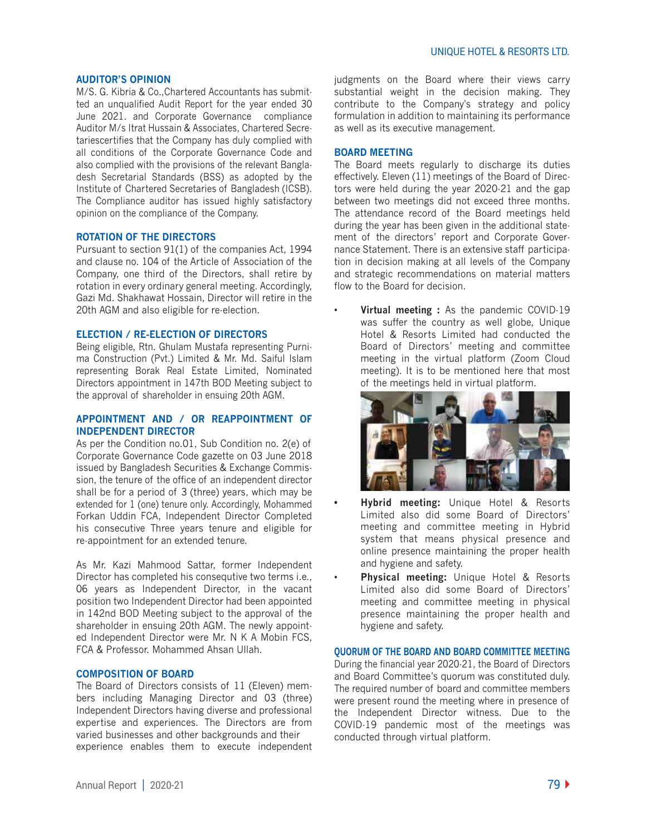#### **AUDITOR'S OPINION**

M/S. G. Kibria & Co.,Chartered Accountants has submitted an unqualified Audit Report for the year ended 30 June 2021. and Corporate Governance compliance Auditor M/s Itrat Hussain & Associates, Chartered Secretariescertifies that the Company has duly complied with all conditions of the Corporate Governance Code and also complied with the provisions of the relevant Bangladesh Secretarial Standards (BSS) as adopted by the Institute of Chartered Secretaries of Bangladesh (ICSB). The Compliance auditor has issued highly satisfactory opinion on the compliance of the Company.

## **ROTATION OF THE DIRECTORS**

Pursuant to section 91(1) of the companies Act, 1994 and clause no. 104 of the Article of Association of the Company, one third of the Directors, shall retire by rotation in every ordinary general meeting. Accordingly, Gazi Md. Shakhawat Hossain, Director will retire in the 20th AGM and also eligible for re-election.

## **ELECTION / RE-ELECTION OF DIRECTORS**

Being eligible, Rtn. Ghulam Mustafa representing Purnima Construction (Pvt.) Limited & Mr. Md. Saiful Islam representing Borak Real Estate Limited, Nominated Directors appointment in 147th BOD Meeting subject to the approval of shareholder in ensuing 20th AGM.

#### **APPOINTMENT AND / OR REAPPOINTMENT OF INDEPENDENT DIRECTOR**

As per the Condition no.01, Sub Condition no. 2(e) of Corporate Governance Code gazette on 03 June 2018 issued by Bangladesh Securities & Exchange Commission, the tenure of the office of an independent director shall be for a period of 3 (three) years, which may be extended for 1 (one) tenure only. Accordingly, Mohammed Forkan Uddin FCA, Independent Director Completed his consecutive Three years tenure and eligible for re-appointment for an extended tenure.

As Mr. Kazi Mahmood Sattar, former Independent Director has completed his consequtive two terms i.e., 06 years as Independent Director, in the vacant position two Independent Director had been appointed in 142nd BOD Meeting subject to the approval of the shareholder in ensuing 20th AGM. The newly appointed Independent Director were Mr. N K A Mobin FCS, FCA & Professor. Mohammed Ahsan Ullah.

## **COMPOSITION OF BOARD**

The Board of Directors consists of 11 (Eleven) members including Managing Director and 03 (three) Independent Directors having diverse and professional expertise and experiences. The Directors are from varied businesses and other backgrounds and their experience enables them to execute independent

judgments on the Board where their views carry substantial weight in the decision making. They contribute to the Company's strategy and policy formulation in addition to maintaining its performance as well as its executive management.

## **BOARD MEETING**

The Board meets regularly to discharge its duties effectively. Eleven (11) meetings of the Board of Directors were held during the year 2020-21 and the gap between two meetings did not exceed three months. The attendance record of the Board meetings held during the year has been given in the additional statement of the directors' report and Corporate Governance Statement. There is an extensive staff participation in decision making at all levels of the Company and strategic recommendations on material matters flow to the Board for decision.

• **Virtual meeting :** As the pandemic COVID-19 was suffer the country as well globe, Unique Hotel & Resorts Limited had conducted the Board of Directors' meeting and committee meeting in the virtual platform (Zoom Cloud meeting). It is to be mentioned here that most of the meetings held in virtual platform.



- **Hybrid meeting:** Unique Hotel & Resorts Limited also did some Board of Directors' meeting and committee meeting in Hybrid system that means physical presence and online presence maintaining the proper health and hygiene and safety.
- **Physical meeting:** Unique Hotel & Resorts Limited also did some Board of Directors' meeting and committee meeting in physical presence maintaining the proper health and hygiene and safety.

#### **QUORUM OF THE BOARD AND BOARD COMMITTEE MEETING**

During the financial year 2020-21, the Board of Directors and Board Committee's quorum was constituted duly. The required number of board and committee members were present round the meeting where in presence of the Independent Director witness. Due to the COVID-19 pandemic most of the meetings was conducted through virtual platform.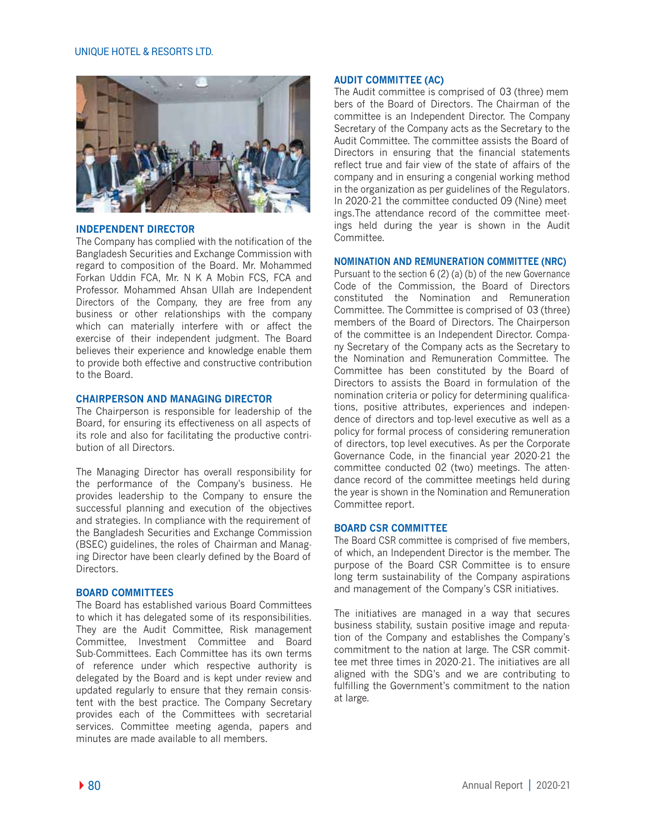#### UNIQUE HOTEL & RESORTS LTD.



## **INDEPENDENT DIRECTOR**

The Company has complied with the notification of the Bangladesh Securities and Exchange Commission with regard to composition of the Board. Mr. Mohammed Forkan Uddin FCA, Mr. N K A Mobin FCS, FCA and Professor. Mohammed Ahsan Ullah are Independent Directors of the Company, they are free from any business or other relationships with the company which can materially interfere with or affect the exercise of their independent judgment. The Board believes their experience and knowledge enable them to provide both effective and constructive contribution to the Board.

#### **CHAIRPERSON AND MANAGING DIRECTOR**

The Chairperson is responsible for leadership of the Board, for ensuring its effectiveness on all aspects of its role and also for facilitating the productive contribution of all Directors.

The Managing Director has overall responsibility for the performance of the Company's business. He provides leadership to the Company to ensure the successful planning and execution of the objectives and strategies. In compliance with the requirement of the Bangladesh Securities and Exchange Commission (BSEC) guidelines, the roles of Chairman and Managing Director have been clearly defined by the Board of Directors.

## **BOARD COMMITTEES**

The Board has established various Board Committees to which it has delegated some of its responsibilities. They are the Audit Committee, Risk management Committee, Investment Committee and Board Sub-Committees. Each Committee has its own terms of reference under which respective authority is delegated by the Board and is kept under review and updated regularly to ensure that they remain consistent with the best practice. The Company Secretary provides each of the Committees with secretarial services. Committee meeting agenda, papers and minutes are made available to all members.

#### **AUDIT COMMITTEE (AC)**

The Audit committee is comprised of 03 (three) mem bers of the Board of Directors. The Chairman of the committee is an Independent Director. The Company Secretary of the Company acts as the Secretary to the Audit Committee. The committee assists the Board of Directors in ensuring that the financial statements reflect true and fair view of the state of affairs of the company and in ensuring a congenial working method in the organization as per guidelines of the Regulators. In 2020-21 the committee conducted 09 (Nine) meet ings.The attendance record of the committee meetings held during the year is shown in the Audit Committee.

## **NOMINATION AND REMUNERATION COMMITTEE (NRC)**

Pursuant to the section 6 (2) (a) (b) of the new Governance Code of the Commission, the Board of Directors constituted the Nomination and Remuneration Committee. The Committee is comprised of 03 (three) members of the Board of Directors. The Chairperson of the committee is an Independent Director. Company Secretary of the Company acts as the Secretary to the Nomination and Remuneration Committee. The Committee has been constituted by the Board of Directors to assists the Board in formulation of the nomination criteria or policy for determining qualifications, positive attributes, experiences and independence of directors and top-level executive as well as a policy for formal process of considering remuneration of directors, top level executives. As per the Corporate Governance Code, in the financial year 2020-21 the committee conducted 02 (two) meetings. The attendance record of the committee meetings held during the year is shown in the Nomination and Remuneration Committee report.

## **BOARD CSR COMMITTEE**

The Board CSR committee is comprised of five members, of which, an Independent Director is the member. The purpose of the Board CSR Committee is to ensure long term sustainability of the Company aspirations and management of the Company's CSR initiatives.

The initiatives are managed in a way that secures business stability, sustain positive image and reputation of the Company and establishes the Company's commitment to the nation at large. The CSR committee met three times in 2020-21. The initiatives are all aligned with the SDG's and we are contributing to fulfilling the Government's commitment to the nation at large.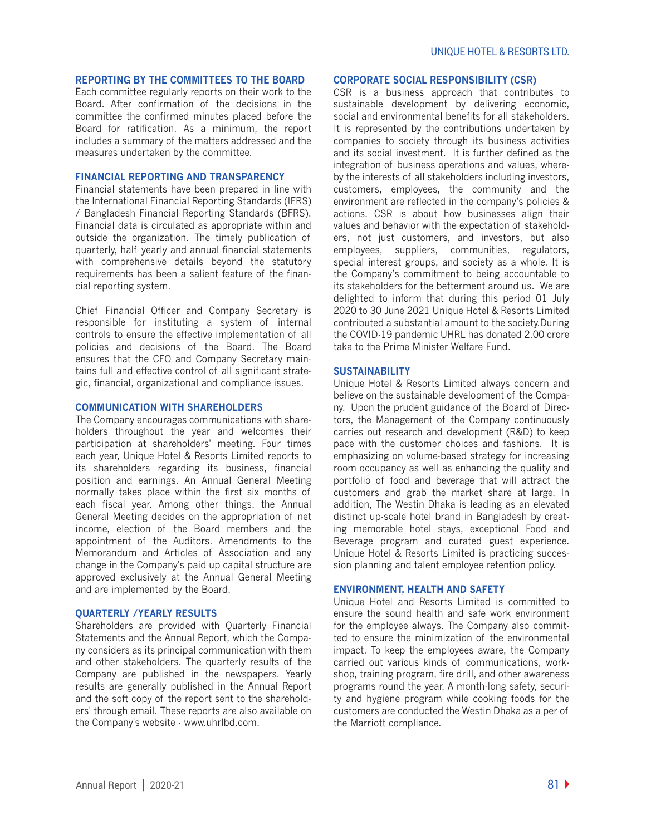#### **REPORTING BY THE COMMITTEES TO THE BOARD**

Each committee regularly reports on their work to the Board. After confirmation of the decisions in the committee the confirmed minutes placed before the Board for ratification. As a minimum, the report includes a summary of the matters addressed and the measures undertaken by the committee.

# **FINANCIAL REPORTING AND TRANSPARENCY**

Financial statements have been prepared in line with the International Financial Reporting Standards (IFRS) / Bangladesh Financial Reporting Standards (BFRS). Financial data is circulated as appropriate within and outside the organization. The timely publication of quarterly, half yearly and annual financial statements with comprehensive details beyond the statutory requirements has been a salient feature of the financial reporting system.

Chief Financial Officer and Company Secretary is responsible for instituting a system of internal controls to ensure the effective implementation of all policies and decisions of the Board. The Board ensures that the CFO and Company Secretary maintains full and effective control of all significant strategic, financial, organizational and compliance issues.

#### **COMMUNICATION WITH SHAREHOLDERS**

The Company encourages communications with shareholders throughout the year and welcomes their participation at shareholders' meeting. Four times each year, Unique Hotel & Resorts Limited reports to its shareholders regarding its business, financial position and earnings. An Annual General Meeting normally takes place within the first six months of each fiscal year. Among other things, the Annual General Meeting decides on the appropriation of net income, election of the Board members and the appointment of the Auditors. Amendments to the Memorandum and Articles of Association and any change in the Company's paid up capital structure are approved exclusively at the Annual General Meeting and are implemented by the Board.

#### **QUARTERLY /YEARLY RESULTS**

Shareholders are provided with Quarterly Financial Statements and the Annual Report, which the Company considers as its principal communication with them and other stakeholders. The quarterly results of the Company are published in the newspapers. Yearly results are generally published in the Annual Report and the soft copy of the report sent to the shareholders' through email. These reports are also available on the Company's website - www.uhrlbd.com.

## **CORPORATE SOCIAL RESPONSIBILITY (CSR)**

CSR is a business approach that contributes to sustainable development by delivering economic, social and environmental benefits for all stakeholders. It is represented by the contributions undertaken by companies to society through its business activities and its social investment. It is further defined as the integration of business operations and values, whereby the interests of all stakeholders including investors, customers, employees, the community and the environment are reflected in the company's policies & actions. CSR is about how businesses align their values and behavior with the expectation of stakeholders, not just customers, and investors, but also employees, suppliers, communities, regulators, special interest groups, and society as a whole. It is the Company's commitment to being accountable to its stakeholders for the betterment around us. We are delighted to inform that during this period 01 July 2020 to 30 June 2021 Unique Hotel & Resorts Limited contributed a substantial amount to the society.During the COVID-19 pandemic UHRL has donated 2.00 crore taka to the Prime Minister Welfare Fund.

## **SUSTAINABILITY**

Unique Hotel & Resorts Limited always concern and believe on the sustainable development of the Company. Upon the prudent guidance of the Board of Directors, the Management of the Company continuously carries out research and development (R&D) to keep pace with the customer choices and fashions. It is emphasizing on volume-based strategy for increasing room occupancy as well as enhancing the quality and portfolio of food and beverage that will attract the customers and grab the market share at large. In addition, The Westin Dhaka is leading as an elevated distinct up-scale hotel brand in Bangladesh by creating memorable hotel stays, exceptional Food and Beverage program and curated guest experience. Unique Hotel & Resorts Limited is practicing succession planning and talent employee retention policy.

#### **ENVIRONMENT, HEALTH AND SAFETY**

Unique Hotel and Resorts Limited is committed to ensure the sound health and safe work environment for the employee always. The Company also committed to ensure the minimization of the environmental impact. To keep the employees aware, the Company carried out various kinds of communications, workshop, training program, fire drill, and other awareness programs round the year. A month-long safety, security and hygiene program while cooking foods for the customers are conducted the Westin Dhaka as a per of the Marriott compliance.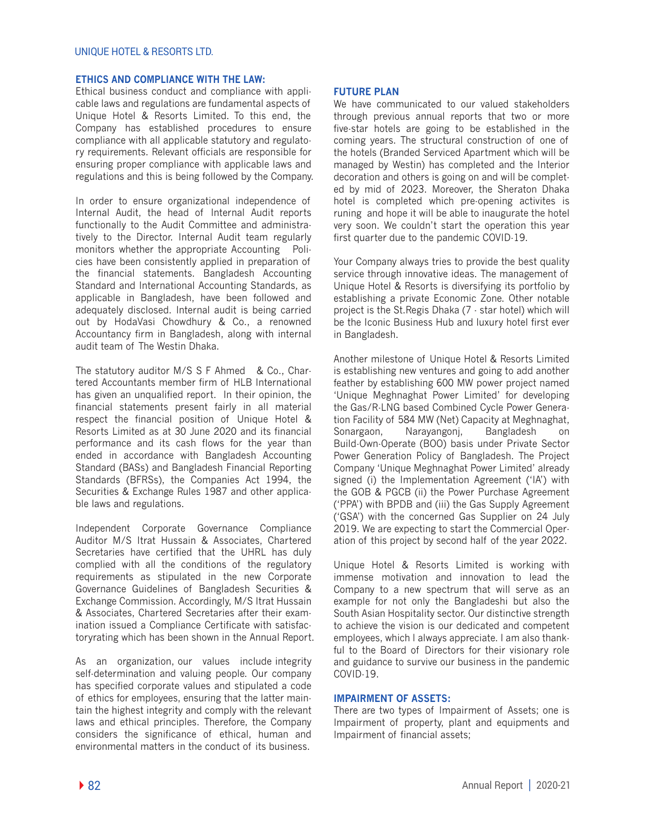# **ETHICS AND COMPLIANCE WITH THE LAW:**

Ethical business conduct and compliance with applicable laws and regulations are fundamental aspects of Unique Hotel & Resorts Limited. To this end, the Company has established procedures to ensure compliance with all applicable statutory and regulatory requirements. Relevant officials are responsible for ensuring proper compliance with applicable laws and regulations and this is being followed by the Company.

In order to ensure organizational independence of Internal Audit, the head of Internal Audit reports functionally to the Audit Committee and administratively to the Director. Internal Audit team regularly monitors whether the appropriate Accounting Policies have been consistently applied in preparation of the financial statements. Bangladesh Accounting Standard and International Accounting Standards, as applicable in Bangladesh, have been followed and adequately disclosed. Internal audit is being carried out by HodaVasi Chowdhury & Co., a renowned Accountancy firm in Bangladesh, along with internal audit team of The Westin Dhaka.

The statutory auditor M/S S F Ahmed & Co., Chartered Accountants member firm of HLB International has given an unqualified report. In their opinion, the financial statements present fairly in all material respect the financial position of Unique Hotel & Resorts Limited as at 30 June 2020 and its financial performance and its cash flows for the year than ended in accordance with Bangladesh Accounting Standard (BASs) and Bangladesh Financial Reporting Standards (BFRSs), the Companies Act 1994, the Securities & Exchange Rules 1987 and other applicable laws and regulations.

Independent Corporate Governance Compliance Auditor M/S Itrat Hussain & Associates, Chartered Secretaries have certified that the UHRL has duly complied with all the conditions of the regulatory requirements as stipulated in the new Corporate Governance Guidelines of Bangladesh Securities & Exchange Commission. Accordingly, M/S Itrat Hussain & Associates, Chartered Secretaries after their examination issued a Compliance Certificate with satisfactoryrating which has been shown in the Annual Report.

As an organization, our values include integrity self-determination and valuing people. Our company has specified corporate values and stipulated a code of ethics for employees, ensuring that the latter maintain the highest integrity and comply with the relevant laws and ethical principles. Therefore, the Company considers the significance of ethical, human and environmental matters in the conduct of its business.

## **FUTURE PLAN**

We have communicated to our valued stakeholders through previous annual reports that two or more five-star hotels are going to be established in the coming years. The structural construction of one of the hotels (Branded Serviced Apartment which will be managed by Westin) has completed and the Interior decoration and others is going on and will be completed by mid of 2023. Moreover, the Sheraton Dhaka hotel is completed which pre-opening activites is runing and hope it will be able to inaugurate the hotel very soon. We couldn't start the operation this year first quarter due to the pandemic COVID-19.

Your Company always tries to provide the best quality service through innovative ideas. The management of Unique Hotel & Resorts is diversifying its portfolio by establishing a private Economic Zone. Other notable project is the St.Regis Dhaka (7 - star hotel) which will be the Iconic Business Hub and luxury hotel first ever in Bangladesh.

Another milestone of Unique Hotel & Resorts Limited is establishing new ventures and going to add another feather by establishing 600 MW power project named 'Unique Meghnaghat Power Limited' for developing the Gas/R-LNG based Combined Cycle Power Generation Facility of 584 MW (Net) Capacity at Meghnaghat, Sonargaon, Narayangonj, Bangladesh on Build-Own-Operate (BOO) basis under Private Sector Power Generation Policy of Bangladesh. The Project Company 'Unique Meghnaghat Power Limited' already signed (i) the Implementation Agreement ('IA') with the GOB & PGCB (ii) the Power Purchase Agreement ('PPA') with BPDB and (iii) the Gas Supply Agreement ('GSA') with the concerned Gas Supplier on 24 July 2019. We are expecting to start the Commercial Operation of this project by second half of the year 2022.

Unique Hotel & Resorts Limited is working with immense motivation and innovation to lead the Company to a new spectrum that will serve as an example for not only the Bangladeshi but also the South Asian Hospitality sector. Our distinctive strength to achieve the vision is our dedicated and competent employees, which I always appreciate. I am also thankful to the Board of Directors for their visionary role and guidance to survive our business in the pandemic COVID-19.

## **IMPAIRMENT OF ASSETS:**

There are two types of Impairment of Assets; one is Impairment of property, plant and equipments and Impairment of financial assets;